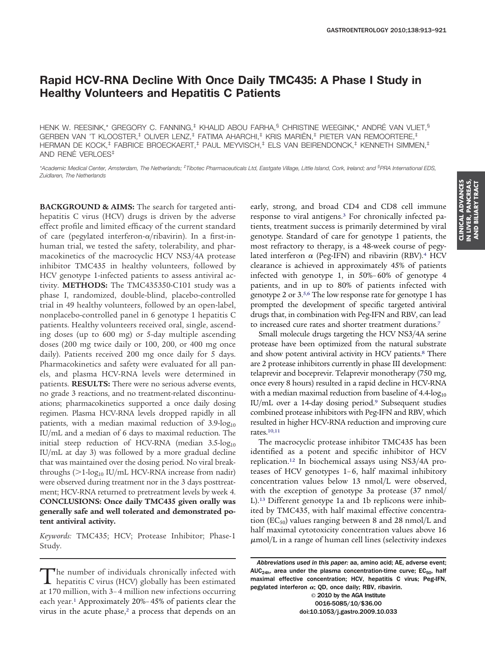# **Rapid HCV-RNA Decline With Once Daily TMC435: A Phase I Study in Healthy Volunteers and Hepatitis C Patients**

HENK W. REESINK,\* GREGORY C. FANNING,<sup>‡</sup> KHALID ABOU FARHA,<sup>§</sup> CHRISTINE WEEGINK,\* ANDRÉ VAN VLIET.<sup>§</sup> GERBEN VAN 'T KLOOSTER,‡ OLIVER LENZ,‡ FATIMA AHARCHI,‡ KRIS MARIËN,‡ PIETER VAN REMOORTERE,‡ HERMAN DE KOCK,‡ FABRICE BROECKAERT,‡ PAUL MEYVISCH,‡ ELS VAN BEIRENDONCK,‡ KENNETH SIMMEN,‡ AND RENÉ VERLOES‡

*\*Academic Medical Center, Amsterdam, The Netherlands; ‡ Tibotec Pharmaceuticals Ltd, Eastgate Village, Little Island, Cork, Ireland; and § PRA International EDS, Zuidlaren, The Netherlands*

**BACKGROUND & AIMS:** The search for targeted antihepatitis C virus (HCV) drugs is driven by the adverse effect profile and limited efficacy of the current standard of care (pegylated interferon- $\alpha$ /ribavirin). In a first-inhuman trial, we tested the safety, tolerability, and pharmacokinetics of the macrocyclic HCV NS3/4A protease inhibitor TMC435 in healthy volunteers, followed by HCV genotype 1-infected patients to assess antiviral activity. **METHODS:** The TMC435350-C101 study was a phase I, randomized, double-blind, placebo-controlled trial in 49 healthy volunteers, followed by an open-label, nonplacebo-controlled panel in 6 genotype 1 hepatitis C patients. Healthy volunteers received oral, single, ascending doses (up to 600 mg) or 5-day multiple ascending doses (200 mg twice daily or 100, 200, or 400 mg once daily). Patients received 200 mg once daily for 5 days. Pharmacokinetics and safety were evaluated for all panels, and plasma HCV-RNA levels were determined in patients. **RESULTS:** There were no serious adverse events, no grade 3 reactions, and no treatment-related discontinuations; pharmacokinetics supported a once daily dosing regimen. Plasma HCV-RNA levels dropped rapidly in all patients, with a median maximal reduction of  $3.9$ -log<sub>10</sub> IU/mL and a median of 6 days to maximal reduction. The initial steep reduction of HCV-RNA (median  $3.5$ -log<sub>10</sub> IU/mL at day 3) was followed by a more gradual decline that was maintained over the dosing period. No viral breakthroughs ( $>1$ -log<sub>10</sub> IU/mL HCV-RNA increase from nadir) were observed during treatment nor in the 3 days posttreatment; HCV-RNA returned to pretreatment levels by week 4. **CONCLUSIONS: Once daily TMC435 given orally was generally safe and well tolerated and demonstrated potent antiviral activity.**

*Keywords:* TMC435; HCV; Protease Inhibitor; Phase-1 Study.

early, strong, and broad CD4 and CD8 cell immune response to viral antigens.<sup>3</sup> For chronically infected patients, treatment success is primarily determined by viral genotype. Standard of care for genotype 1 patients, the most refractory to therapy, is a 48-week course of pegylated interferon  $\alpha$  (Peg-IFN) and ribavirin (RBV).<sup>4</sup> HCV clearance is achieved in approximately 45% of patients infected with genotype 1, in 50%– 60% of genotype 4 patients, and in up to 80% of patients infected with genotype 2 or 3[.5,6](#page-8-0) The low response rate for genotype 1 has prompted the development of specific targeted antiviral drugs that, in combination with Peg-IFN and RBV, can lead to increased cure rates and shorter treatment durations[.7](#page-8-0)

Small molecule drugs targeting the HCV NS3/4A serine protease have been optimized from the natural substrate and show potent antiviral activity in HCV patients.<sup>8</sup> There are 2 protease inhibitors currently in phase III development: telaprevir and boceprevir. Telaprevir monotherapy (750 mg, once every 8 hours) resulted in a rapid decline in HCV-RNA with a median maximal reduction from baseline of  $4.4$ -log<sub>10</sub> IU/mL over a 14-day dosing period[.9](#page-8-0) Subsequent studies combined protease inhibitors with Peg-IFN and RBV, which resulted in higher HCV-RNA reduction and improving cure rates[.10,11](#page-8-0)

The macrocyclic protease inhibitor TMC435 has been identified as a potent and specific inhibitor of HCV replication[.12](#page-8-0) In biochemical assays using NS3/4A proteases of HCV genotypes 1-6, half maximal inhibitory concentration values below 13 nmol/L were observed, with the exception of genotype 3a protease (37 nmol/ L)[.13](#page-8-0) Different genotype 1a and 1b replicons were inhibited by TMC435, with half maximal effective concentration ( $EC_{50}$ ) values ranging between 8 and 28 nmol/L and half maximal cytotoxicity concentration values above 16  $\mu$ mol/L in a range of human cell lines (selectivity indexes

© 2010 by the AGA Institute 0016-5085/10/\$36.00 doi:10.1053/j.gastro.2009.10.033

The number of individuals chronically infected with<br>hepatitis C virus (HCV) globally has been estimated<br>at 170 million with 2.4 million noming factions accumular at 170 million, with 3– 4 million new infections occurring each year[.1](#page-8-0) Approximately 20%– 45% of patients clear the virus in the acute phase, $2$  a process that depends on an

*Abbreviations used in this paper:* aa, amino acid; AE, adverse event; AUC<sub>24h</sub>, area under the plasma concentration-time curve;  $EC_{50}$ , half maximal effective concentration; HCV, hepatitis C virus; Peg-IFN, pegylated interferon  $\alpha$ ; QD, once daily; RBV, ribavirin.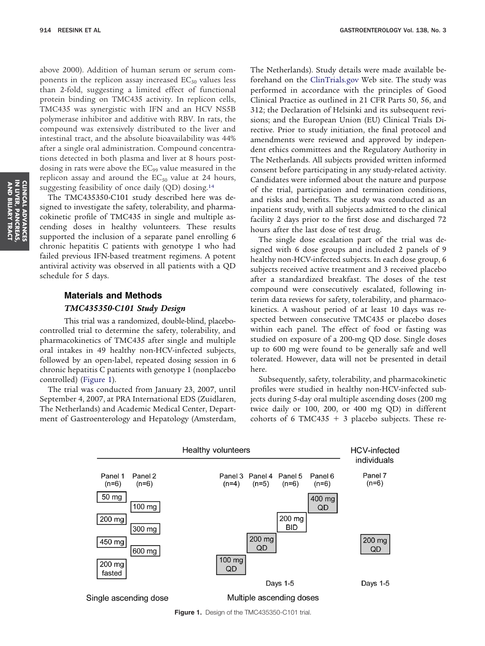<span id="page-1-0"></span>above 2000). Addition of human serum or serum components in the replicon assay increased  $EC_{50}$  values less than 2-fold, suggesting a limited effect of functional protein binding on TMC435 activity. In replicon cells, TMC435 was synergistic with IFN and an HCV NS5B polymerase inhibitor and additive with RBV. In rats, the compound was extensively distributed to the liver and intestinal tract, and the absolute bioavailability was 44% after a single oral administration. Compound concentrations detected in both plasma and liver at 8 hours postdosing in rats were above the  $EC_{99}$  value measured in the replicon assay and around the  $EC_{50}$  value at 24 hours, suggesting feasibility of once daily (QD) dosing[.14](#page-8-0)

The TMC435350-C101 study described here was designed to investigate the safety, tolerability, and pharmacokinetic profile of TMC435 in single and multiple ascending doses in healthy volunteers. These results supported the inclusion of a separate panel enrolling 6 chronic hepatitis C patients with genotype 1 who had failed previous IFN-based treatment regimens. A potent antiviral activity was observed in all patients with a QD schedule for 5 days.

## **Materials and Methods**

## *TMC435350-C101 Study Design*

This trial was a randomized, double-blind, placebocontrolled trial to determine the safety, tolerability, and pharmacokinetics of TMC435 after single and multiple oral intakes in 49 healthy non-HCV-infected subjects, followed by an open-label, repeated dosing session in 6 chronic hepatitis C patients with genotype 1 (nonplacebo controlled) (Figure 1).

The trial was conducted from January 23, 2007, until September 4, 2007, at PRA International EDS (Zuidlaren, The Netherlands) and Academic Medical Center, Department of Gastroenterology and Hepatology (Amsterdam, The Netherlands). Study details were made available beforehand on the [ClinTrials.gov](http://ClinTrials.gov) Web site. The study was performed in accordance with the principles of Good Clinical Practice as outlined in 21 CFR Parts 50, 56, and 312; the Declaration of Helsinki and its subsequent revisions; and the European Union (EU) Clinical Trials Directive. Prior to study initiation, the final protocol and amendments were reviewed and approved by independent ethics committees and the Regulatory Authority in The Netherlands. All subjects provided written informed consent before participating in any study-related activity. Candidates were informed about the nature and purpose of the trial, participation and termination conditions, and risks and benefits. The study was conducted as an inpatient study, with all subjects admitted to the clinical facility 2 days prior to the first dose and discharged 72 hours after the last dose of test drug.

The single dose escalation part of the trial was designed with 6 dose groups and included 2 panels of 9 healthy non-HCV-infected subjects. In each dose group, 6 subjects received active treatment and 3 received placebo after a standardized breakfast. The doses of the test compound were consecutively escalated, following interim data reviews for safety, tolerability, and pharmacokinetics. A washout period of at least 10 days was respected between consecutive TMC435 or placebo doses within each panel. The effect of food or fasting was studied on exposure of a 200-mg QD dose. Single doses up to 600 mg were found to be generally safe and well tolerated. However, data will not be presented in detail here.

Subsequently, safety, tolerability, and pharmacokinetic profiles were studied in healthy non-HCV-infected subjects during 5-day oral multiple ascending doses (200 mg twice daily or 100, 200, or 400 mg QD) in different cohorts of 6 TMC435  $+$  3 placebo subjects. These re-



**Figure 1.** Design of the TMC435350-C101 trial.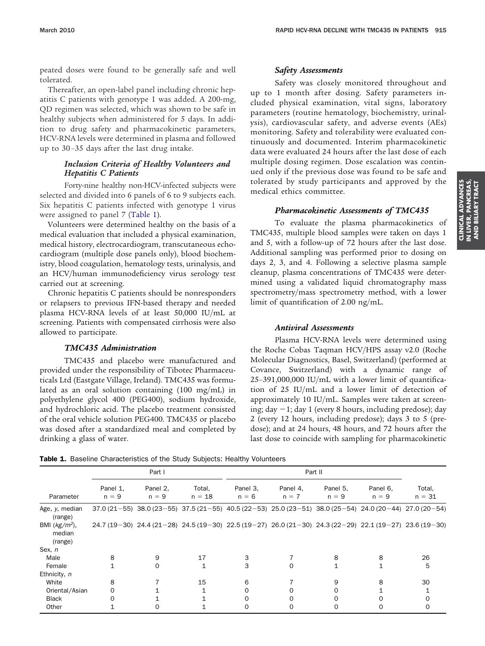<span id="page-2-0"></span>peated doses were found to be generally safe and well tolerated.

Thereafter, an open-label panel including chronic hepatitis C patients with genotype 1 was added. A 200-mg, QD regimen was selected, which was shown to be safe in healthy subjects when administered for 5 days. In addition to drug safety and pharmacokinetic parameters, HCV-RNA levels were determined in plasma and followed up to 30 –35 days after the last drug intake.

## *Inclusion Criteria of Healthy Volunteers and Hepatitis C Patients*

Forty-nine healthy non-HCV-infected subjects were selected and divided into 6 panels of 6 to 9 subjects each. Six hepatitis C patients infected with genotype 1 virus were assigned to panel 7 (Table 1).

Volunteers were determined healthy on the basis of a medical evaluation that included a physical examination, medical history, electrocardiogram, transcutaneous echocardiogram (multiple dose panels only), blood biochemistry, blood coagulation, hematology tests, urinalysis, and an HCV/human immunodeficiency virus serology test carried out at screening.

Chronic hepatitis C patients should be nonresponders or relapsers to previous IFN-based therapy and needed plasma HCV-RNA levels of at least 50,000 IU/mL at screening. Patients with compensated cirrhosis were also allowed to participate.

### *TMC435 Administration*

TMC435 and placebo were manufactured and provided under the responsibility of Tibotec Pharmaceuticals Ltd (Eastgate Village, Ireland). TMC435 was formulated as an oral solution containing (100 mg/mL) in polyethylene glycol 400 (PEG400), sodium hydroxide, and hydrochloric acid. The placebo treatment consisted of the oral vehicle solution PEG400. TMC435 or placebo was dosed after a standardized meal and completed by drinking a glass of water.

### *Safety Assessments*

Safety was closely monitored throughout and up to 1 month after dosing. Safety parameters included physical examination, vital signs, laboratory parameters (routine hematology, biochemistry, urinalysis), cardiovascular safety, and adverse events (AEs) monitoring. Safety and tolerability were evaluated continuously and documented. Interim pharmacokinetic data were evaluated 24 hours after the last dose of each multiple dosing regimen. Dose escalation was continued only if the previous dose was found to be safe and tolerated by study participants and approved by the medical ethics committee.

### *Pharmacokinetic Assessments of TMC435*

To evaluate the plasma pharmacokinetics of TMC435, multiple blood samples were taken on days 1 and 5, with a follow-up of 72 hours after the last dose. Additional sampling was performed prior to dosing on days 2, 3, and 4. Following a selective plasma sample cleanup, plasma concentrations of TMC435 were determined using a validated liquid chromatography mass spectrometry/mass spectrometry method, with a lower limit of quantification of 2.00 ng/mL.

### *Antiviral Assessments*

Plasma HCV-RNA levels were determined using the Roche Cobas Taqman HCV/HPS assay v2.0 (Roche Molecular Diagnostics, Basel, Switzerland) (performed at Covance, Switzerland) with a dynamic range of 25–391,000,000 IU/mL with a lower limit of quantification of 25 IU/mL and a lower limit of detection of approximately 10 IU/mL. Samples were taken at screening; day  $-1$ ; day 1 (every 8 hours, including predose); day 2 (every 12 hours, including predose); days 3 to 5 (predose); and at 24 hours, 48 hours, and 72 hours after the last dose to coincide with sampling for pharmacokinetic

Table 1. Baseline Characteristics of the Study Subjects: Healthy Volunteers

|                                      | Part I              |                     |                    | Part II             |                                                                                                                 |                     |                     |                    |  |
|--------------------------------------|---------------------|---------------------|--------------------|---------------------|-----------------------------------------------------------------------------------------------------------------|---------------------|---------------------|--------------------|--|
| Parameter                            | Panel 1.<br>$n = 9$ | Panel 2,<br>$n = 9$ | Total,<br>$n = 18$ | Panel 3.<br>$n = 6$ | Panel 4,<br>$n = 7$                                                                                             | Panel 5,<br>$n = 9$ | Panel 6,<br>$n = 9$ | Total,<br>$n = 31$ |  |
| Age, y, median<br>(range)            |                     |                     |                    |                     | $37.0(21-55)$ $38.0(23-55)$ $37.5(21-55)$ $40.5(22-53)$ $25.0(23-51)$ $38.0(25-54)$ $24.0(20-44)$ $27.0(20-54)$ |                     |                     |                    |  |
| BMI $(kg/m2)$ ,<br>median<br>(range) |                     |                     |                    |                     | $24.7(19-30)$ $24.4(21-28)$ $24.5(19-30)$ $22.5(19-27)$ $26.0(21-30)$ $24.3(22-29)$ $22.1(19-27)$ $23.6(19-30)$ |                     |                     |                    |  |
| Sex, n                               |                     |                     |                    |                     |                                                                                                                 |                     |                     |                    |  |
| Male                                 | 8                   | 9                   | 17                 | 3                   |                                                                                                                 | 8                   | 8                   | 26                 |  |
| Female                               |                     | $\Omega$            | 1                  | 3                   | $\Omega$                                                                                                        | $\mathbf{1}$        | 1                   | 5                  |  |
| Ethnicity, n                         |                     |                     |                    |                     |                                                                                                                 |                     |                     |                    |  |
| White                                | 8                   |                     | 15                 | 6                   |                                                                                                                 | 9                   | 8                   | 30                 |  |
| Oriental/Asian                       | $\Omega$            |                     |                    | 0                   | $\Omega$                                                                                                        | $\Omega$            |                     |                    |  |
| <b>Black</b>                         | $\Omega$            |                     |                    | 0                   | $\Omega$                                                                                                        | $\Omega$            | O                   | 0                  |  |
| Other                                |                     | 0                   |                    | 0                   | 0                                                                                                               | 0                   | 0                   | 0                  |  |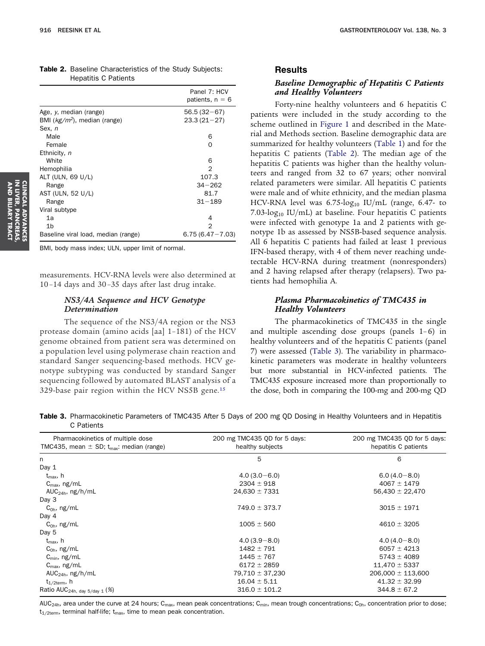<span id="page-3-0"></span>

| <b>Table 2.</b> Baseline Characteristics of the Study Subjects: |  |  |  |
|-----------------------------------------------------------------|--|--|--|
| Hepatitis C Patients                                            |  |  |  |

|                                     | Panel 7: HCV<br>patients, $n = 6$ |
|-------------------------------------|-----------------------------------|
| Age, y, median (range)              | $56.5(32-67)$                     |
| BMI $(kg/m2)$ , median (range)      | $23.3(21-27)$                     |
| Sex, n                              |                                   |
| Male                                | 6                                 |
| Female                              | Ω                                 |
| Ethnicity, n                        |                                   |
| White                               | 6                                 |
| Hemophilia                          | 2                                 |
| ALT (ULN, 69 U/L)                   | 107.3                             |
| Range                               | $34 - 262$                        |
| AST (ULN, 52 U/L)                   | 81.7                              |
| Range                               | $31 - 189$                        |
| Viral subtype                       |                                   |
| 1a                                  | 4                                 |
| 1 <sub>b</sub>                      | 2                                 |
| Baseline viral load, median (range) | $6.75(6.47 - 7.03)$               |

BMI, body mass index; ULN, upper limit of normal.

measurements. HCV-RNA levels were also determined at 10 –14 days and 30 –35 days after last drug intake.

## *NS3/4A Sequence and HCV Genotype Determination*

The sequence of the NS3/4A region or the NS3 protease domain (amino acids [aa] 1–181) of the HCV genome obtained from patient sera was determined on a population level using polymerase chain reaction and standard Sanger sequencing-based methods. HCV genotype subtyping was conducted by standard Sanger sequencing followed by automated BLAST analysis of a 329-base pair region within the HCV NS5B gene[.15](#page-8-0)

## **Results**

## *Baseline Demographic of Hepatitis C Patients and Healthy Volunteers*

Forty-nine healthy volunteers and 6 hepatitis C patients were included in the study according to the scheme outlined in [Figure 1](#page-1-0) and described in the Material and Methods section. Baseline demographic data are summarized for healthy volunteers [\(Table 1\)](#page-2-0) and for the hepatitis C patients (Table 2). The median age of the hepatitis C patients was higher than the healthy volunteers and ranged from 32 to 67 years; other nonviral related parameters were similar. All hepatitis C patients were male and of white ethnicity, and the median plasma HCV-RNA level was  $6.75$ -log<sub>10</sub> IU/mL (range,  $6.47$ - to 7.03-log<sub>10</sub> IU/mL) at baseline. Four hepatitis C patients were infected with genotype 1a and 2 patients with genotype 1b as assessed by NS5B-based sequence analysis. All 6 hepatitis C patients had failed at least 1 previous IFN-based therapy, with 4 of them never reaching undetectable HCV-RNA during treatment (nonresponders) and 2 having relapsed after therapy (relapsers). Two patients had hemophilia A.

### *Plasma Pharmacokinetics of TMC435 in Healthy Volunteers*

The pharmacokinetics of TMC435 in the single and multiple ascending dose groups (panels  $1-6$ ) in healthy volunteers and of the hepatitis C patients (panel 7) were assessed (Table 3). The variability in pharmacokinetic parameters was moderate in healthy volunteers but more substantial in HCV-infected patients. The TMC435 exposure increased more than proportionally to the dose, both in comparing the 100-mg and 200-mg QD

Table 3. Pharmacokinetic Parameters of TMC435 After 5 Days of 200 mg QD Dosing in Healthy Volunteers and in Hepatitis C Patients

| Pharmacokinetics of multiple dose<br>TMC435, mean $\pm$ SD; $t_{max}$ : median (range) | 200 mg TMC435 QD for 5 days:<br>healthy subjects | 200 mg TMC435 QD for 5 days:<br>hepatitis C patients |  |  |
|----------------------------------------------------------------------------------------|--------------------------------------------------|------------------------------------------------------|--|--|
| n.                                                                                     | 5                                                | 6                                                    |  |  |
| Day 1                                                                                  |                                                  |                                                      |  |  |
| $t_{\text{max}}$ , h                                                                   | $4.0(3.0 - 6.0)$                                 | $6.0(4.0 - 8.0)$                                     |  |  |
| $C_{\text{max}}$ , ng/mL                                                               | $2304 \pm 918$                                   | $4067 \pm 1479$                                      |  |  |
| AUC <sub>24h</sub> , $ng/h/mL$                                                         | $24,630 \pm 7331$                                | $56,430 \pm 22,470$                                  |  |  |
| Day 3                                                                                  |                                                  |                                                      |  |  |
| $C_{0h}$ , ng/mL                                                                       | $749.0 \pm 373.7$                                | $3015 \pm 1971$                                      |  |  |
| Day 4                                                                                  |                                                  |                                                      |  |  |
| $C_{0h}$ , ng/mL                                                                       | $1005 \pm 560$                                   | $4610 \pm 3205$                                      |  |  |
| Day 5                                                                                  |                                                  |                                                      |  |  |
| $t_{\text{max}}$ , h                                                                   | $4.0(3.9 - 8.0)$                                 | $4.0(4.0 - 8.0)$                                     |  |  |
| $C_{0h}$ , ng/mL                                                                       | $1482 \pm 791$                                   | $6057 \pm 4213$                                      |  |  |
| $C_{\text{min}}$ , ng/mL                                                               | $1445 \pm 767$                                   | $5743 \pm 4089$                                      |  |  |
| $C_{\text{max}}$ , ng/mL                                                               | $6172 \pm 2859$                                  | $11,470 \pm 5337$                                    |  |  |
| AUC <sub>24h</sub> , $ng/h/mL$                                                         | $79,710 \pm 37,230$                              | $206,000 \pm 113,600$                                |  |  |
| $t_{1/2term}$ , h                                                                      | $16.04 \pm 5.11$                                 | $41.32 \pm 32.99$                                    |  |  |
| Ratio AUC <sub>24h, day 5/day 1</sub> (%)                                              | $316.0 \pm 101.2$                                | $344.8 \pm 67.2$                                     |  |  |

AUC<sub>24h</sub>, area under the curve at 24 hours; C<sub>max</sub>, mean peak concentrations; C<sub>min</sub>, mean trough concentrations; C<sub>0h</sub>, concentration prior to dose;  $t_{1/2term}$ , terminal half-life;  $t_{max}$ , time to mean peak concentration.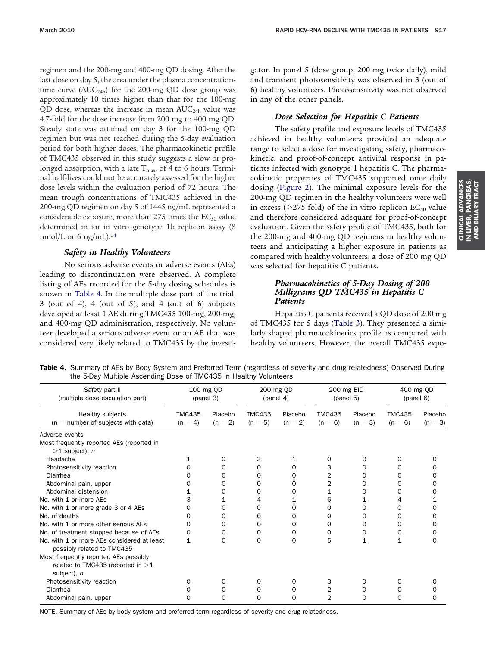regimen and the 200-mg and 400-mg QD dosing. After the last dose on day 5, the area under the plasma concentrationtime curve  $(AUC<sub>24h</sub>)$  for the 200-mg QD dose group was approximately 10 times higher than that for the 100-mg QD dose, whereas the increase in mean  $AUC_{24h}$  value was 4.7-fold for the dose increase from 200 mg to 400 mg QD. Steady state was attained on day 3 for the 100-mg QD regimen but was not reached during the 5-day evaluation period for both higher doses. The pharmacokinetic profile of TMC435 observed in this study suggests a slow or prolonged absorption, with a late  $T_{\text{max}}$ , of 4 to 6 hours. Terminal half-lives could not be accurately assessed for the higher dose levels within the evaluation period of 72 hours. The mean trough concentrations of TMC435 achieved in the 200-mg QD regimen on day 5 of 1445 ng/mL represented a considerable exposure, more than 275 times the  $EC_{50}$  value determined in an in vitro genotype 1b replicon assay (8 nmol/L or 6 ng/mL)[.14](#page-8-0)

# *Safety in Healthy Volunteers*

No serious adverse events or adverse events (AEs) leading to discontinuation were observed. A complete listing of AEs recorded for the 5-day dosing schedules is shown in Table 4. In the multiple dose part of the trial, 3 (out of 4), 4 (out of 5), and 4 (out of 6) subjects developed at least 1 AE during TMC435 100-mg, 200-mg, and 400-mg QD administration, respectively. No volunteer developed a serious adverse event or an AE that was considered very likely related to TMC435 by the investigator. In panel 5 (dose group, 200 mg twice daily), mild and transient photosensitivity was observed in 3 (out of 6) healthy volunteers. Photosensitivity was not observed in any of the other panels.

# *Dose Selection for Hepatitis C Patients*

The safety profile and exposure levels of TMC435 achieved in healthy volunteers provided an adequate range to select a dose for investigating safety, pharmacokinetic, and proof-of-concept antiviral response in patients infected with genotype 1 hepatitis C. The pharmacokinetic properties of TMC435 supported once daily dosing [\(Figure 2\)](#page-5-0). The minimal exposure levels for the 200-mg QD regimen in the healthy volunteers were well in excess ( $>$ 275-fold) of the in vitro replicon EC<sub>50</sub> value and therefore considered adequate for proof-of-concept evaluation. Given the safety profile of TMC435, both for the 200-mg and 400-mg QD regimens in healthy volunteers and anticipating a higher exposure in patients as compared with healthy volunteers, a dose of 200 mg QD was selected for hepatitis C patients.

# *Pharmacokinetics of 5-Day Dosing of 200 Milligrams QD TMC435 in Hepatitis C Patients*

Hepatitis C patients received a QD dose of 200 mg of TMC435 for 5 days [\(Table 3\)](#page-3-0). They presented a similarly shaped pharmacokinetics profile as compared with healthy volunteers. However, the overall TMC435 expo-

| Table 4. Summary of AEs by Body System and Preferred Term (regardless of severity and drug relatedness) Observed During |  |  |
|-------------------------------------------------------------------------------------------------------------------------|--|--|
| the 5-Day Multiple Ascending Dose of TMC435 in Healthy Volunteers                                                       |  |  |

| Safety part II<br>(multiple dose escalation part)                                           | 100 mg QD<br>(panel 3)     |                      | 200 mg QD<br>(panel 4)     |                      | 200 mg BID<br>(panel 5)    |                      | 400 mg QD<br>(panel 6)     |                      |
|---------------------------------------------------------------------------------------------|----------------------------|----------------------|----------------------------|----------------------|----------------------------|----------------------|----------------------------|----------------------|
| Healthy subjects<br>$(n = number of subjects with data)$                                    | <b>TMC435</b><br>$(n = 4)$ | Placebo<br>$(n = 2)$ | <b>TMC435</b><br>$(n = 5)$ | Placebo<br>$(n = 2)$ | <b>TMC435</b><br>$(n = 6)$ | Placebo<br>$(n = 3)$ | <b>TMC435</b><br>$(n = 6)$ | Placebo<br>$(n = 3)$ |
| Adverse events                                                                              |                            |                      |                            |                      |                            |                      |                            |                      |
| Most frequently reported AEs (reported in<br>$>1$ subject), n                               |                            |                      |                            |                      |                            |                      |                            |                      |
| Headache                                                                                    |                            | 0                    | 3                          |                      | $\Omega$                   | $\Omega$             | O                          | O                    |
| Photosensitivity reaction                                                                   | Ω                          | 0                    | 0                          | 0                    | 3                          | 0                    | 0                          | O                    |
| Diarrhea                                                                                    |                            | 0                    | 0                          | 0                    | 2                          | 0                    | O                          | 0                    |
| Abdominal pain, upper                                                                       |                            | Ο                    | 0                          | 0                    | 2                          | $\Omega$             | 0                          | O                    |
| Abdominal distension                                                                        |                            | 0                    | 0                          | 0                    | 1                          | 0                    | 0                          | 0                    |
| No. with 1 or more AEs                                                                      | 3                          | 1                    | 4                          | 1                    | 6                          |                      | 4                          |                      |
| No. with 1 or more grade 3 or 4 AEs                                                         | Ω                          | O                    | 0                          | 0                    | 0                          | $\Omega$             | 0                          | 0                    |
| No. of deaths                                                                               | O                          | 0                    | 0                          | 0                    | 0                          | $\Omega$             | O                          | 0                    |
| No. with 1 or more other serious AEs                                                        | 0                          | O                    | 0                          | 0                    | 0                          | 0                    | O                          | 0                    |
| No. of treatment stopped because of AEs                                                     | 0                          | 0                    | 0                          | 0                    | 0                          | 0                    | 0                          | 0                    |
| No. with 1 or more AEs considered at least<br>possibly related to TMC435                    | 1                          | O                    | $\Omega$                   | $\Omega$             | 5                          | $\mathbf{1}$         | $\mathbf 1$                | 0                    |
| Most frequently reported AEs possibly<br>related to TMC435 (reported in $>1$<br>subject), n |                            |                      |                            |                      |                            |                      |                            |                      |
| Photosensitivity reaction                                                                   | 0                          | 0                    | 0                          | $\Omega$             | 3                          | $\Omega$             | 0                          | 0                    |
| Diarrhea                                                                                    |                            | 0                    | 0                          | Ο                    |                            | 0                    | 0                          |                      |
| Abdominal pain, upper                                                                       | 0                          | 0                    | 0                          | $\Omega$             | $\overline{2}$             | $\Omega$             | 0                          | 0                    |

**CLINICAL ADVANCES<br>IN LIVER, PANCREAS,<br>AND BILIARY TRACT IN LIVER, PANCREAS, CLINICAL ADVANCES AND BILIARY TRACT**

NOTE. Summary of AEs by body system and preferred term regardless of severity and drug relatedness.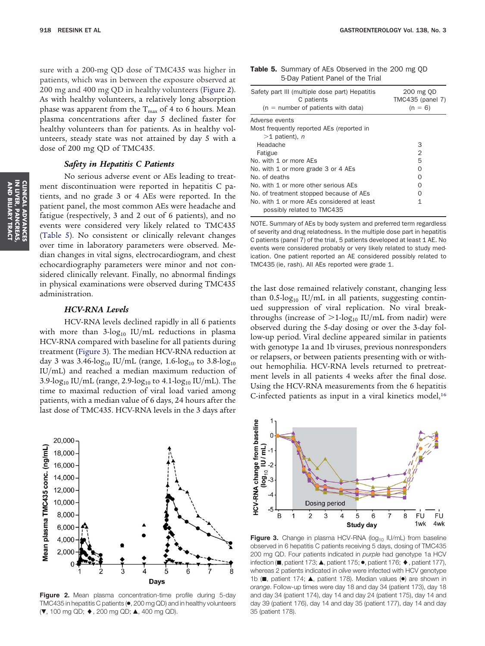<span id="page-5-0"></span>sure with a 200-mg QD dose of TMC435 was higher in patients, which was in between the exposure observed at 200 mg and 400 mg QD in healthy volunteers (Figure 2). As with healthy volunteers, a relatively long absorption phase was apparent from the  $T_{\text{max}}$  of 4 to 6 hours. Mean plasma concentrations after day 5 declined faster for healthy volunteers than for patients. As in healthy volunteers, steady state was not attained by day 5 with a dose of 200 mg QD of TMC435.

### *Safety in Hepatitis C Patients*

No serious adverse event or AEs leading to treatment discontinuation were reported in hepatitis C patients, and no grade 3 or 4 AEs were reported. In the patient panel, the most common AEs were headache and fatigue (respectively, 3 and 2 out of 6 patients), and no events were considered very likely related to TMC435 (Table 5). No consistent or clinically relevant changes over time in laboratory parameters were observed. Median changes in vital signs, electrocardiogram, and chest echocardiography parameters were minor and not considered clinically relevant. Finally, no abnormal findings in physical examinations were observed during TMC435 administration.

### *HCV-RNA Levels*

HCV-RNA levels declined rapidly in all 6 patients with more than  $3\text{-log}_{10}$  IU/mL reductions in plasma HCV-RNA compared with baseline for all patients during treatment (Figure 3). The median HCV-RNA reduction at day 3 was 3.46- $log_{10}$  IU/mL (range, 1.6- $log_{10}$  to 3.8- $log_{10}$ IU/mL) and reached a median maximum reduction of 3.9-log<sub>10</sub> IU/mL (range, 2.9-log<sub>10</sub> to 4.1-log<sub>10</sub> IU/mL). The time to maximal reduction of viral load varied among patients, with a median value of 6 days, 24 hours after the last dose of TMC435. HCV-RNA levels in the 3 days after

20,000 Mean plasma TMC435 conc. (ng/mL) 18,000 16,000 14,000 12,000 10,000 8,000 6,000 4,000 2,000 3 Days

**Figure 2.** Mean plasma concentration-time profile during 5-day TMC435 in hepatitis C patients (●, 200 mg QD) and in healthy volunteers (**▼**, 100 mg QD; ♦, 200 mg QD; ▲, 400 mg QD).

| <b>Table 5.</b> Summary of AEs Observed in the 200 mg QD |
|----------------------------------------------------------|
| 5-Day Patient Panel of the Trial                         |

| Safety part III (multiple dose part) Hepatitis<br>C patients<br>$(n =$ number of patients with data) | 200 mg QD<br>TMC435 (panel 7)<br>$(n = 6)$ |
|------------------------------------------------------------------------------------------------------|--------------------------------------------|
| Adverse events                                                                                       |                                            |
| Most frequently reported AEs (reported in                                                            |                                            |
| $>1$ patient), n                                                                                     |                                            |
| Headache                                                                                             | 3                                          |
| Fatigue                                                                                              | $\overline{2}$                             |
| No. with 1 or more AFs                                                                               | 5                                          |
| No. with 1 or more grade 3 or 4 AEs                                                                  | ∩                                          |
| No. of deaths                                                                                        | O                                          |
| No. with 1 or more other serious AEs                                                                 | ∩                                          |
| No. of treatment stopped because of AEs                                                              | O                                          |
| No, with 1 or more AEs considered at least<br>possibly related to TMC435                             | 1                                          |

NOTE. Summary of AEs by body system and preferred term regardless of severity and drug relatedness. In the multiple dose part in hepatitis C patients (panel 7) of the trial, 5 patients developed at least 1 AE. No events were considered probably or very likely related to study medication. One patient reported an AE considered possibly related to TMC435 (ie, rash). All AEs reported were grade 1.

the last dose remained relatively constant, changing less than  $0.5$ -log<sub>10</sub> IU/mL in all patients, suggesting continued suppression of viral replication. No viral breakthroughs (increase of  $>1$ -log<sub>10</sub> IU/mL from nadir) were observed during the 5-day dosing or over the 3-day follow-up period. Viral decline appeared similar in patients with genotype 1a and 1b viruses, previous nonresponders or relapsers, or between patients presenting with or without hemophilia. HCV-RNA levels returned to pretreatment levels in all patients 4 weeks after the final dose. Using the HCV-RNA measurements from the 6 hepatitis C-infected patients as input in a viral kinetics model, $16$ 



**Figure 3.** Change in plasma HCV-RNA (log<sub>10</sub> IU/mL) from baseline observed in 6 hepatitis C patients receiving 5 days, dosing of TMC435 200 mg QD. Four patients indicated in *purple* had genotype 1a HCV infection ( $\blacksquare$ , patient 173;  $\blacktriangle$ , patient 175;  $\bullet$ , patient 176;  $\blacklozenge$ , patient 177), whereas 2 patients indicated in *olive* were infected with HCV genotype 1b (, patient 174;  $\blacktriangle$ , patient 178). Median values ( $\blacktriangleright$ ) are shown in *orange*. Follow-up times were day 18 and day 34 (patient 173), day 18 and day 34 (patient 174), day 14 and day 24 (patient 175), day 14 and day 39 (patient 176), day 14 and day 35 (patient 177), day 14 and day 35 (patient 178).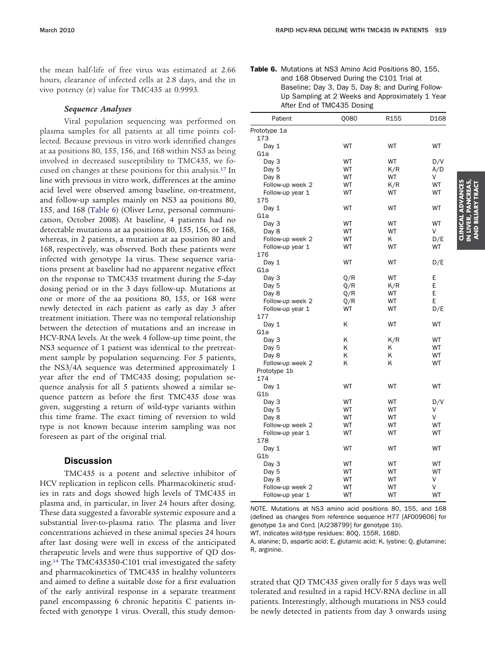the mean half-life of free virus was estimated at 2.66 hours, clearance of infected cells at 2.8 days, and the in vivo potency  $(\varepsilon)$  value for TMC435 at 0.9993.

## *Sequence Analyses*

Viral population sequencing was performed on plasma samples for all patients at all time points collected. Because previous in vitro work identified changes at aa positions 80, 155, 156, and 168 within NS3 as being involved in decreased susceptibility to TMC435, we focused on changes at these positions for this analysis[.17](#page-8-0) In line with previous in vitro work, differences at the amino acid level were observed among baseline, on-treatment, and follow-up samples mainly on NS3 aa positions 80, 155, and 168 (Table 6) (Oliver Lenz, personal communication, October 2008). At baseline, 4 patients had no detectable mutations at aa positions 80, 155, 156, or 168, whereas, in 2 patients, a mutation at aa position 80 and 168, respectively, was observed. Both these patients were infected with genotype 1a virus. These sequence variations present at baseline had no apparent negative effect on the response to TMC435 treatment during the 5-day dosing period or in the 3 days follow-up. Mutations at one or more of the aa positions 80, 155, or 168 were newly detected in each patient as early as day 3 after treatment initiation. There was no temporal relationship between the detection of mutations and an increase in HCV-RNA levels. At the week 4 follow-up time point, the NS3 sequence of 1 patient was identical to the pretreatment sample by population sequencing. For 5 patients, the NS3/4A sequence was determined approximately 1 year after the end of TMC435 dosing; population sequence analysis for all 5 patients showed a similar sequence pattern as before the first TMC435 dose was given, suggesting a return of wild-type variants within this time frame. The exact timing of reversion to wild type is not known because interim sampling was not foreseen as part of the original trial.

# **Discussion**

TMC435 is a potent and selective inhibitor of HCV replication in replicon cells. Pharmacokinetic studies in rats and dogs showed high levels of TMC435 in plasma and, in particular, in liver 24 hours after dosing. These data suggested a favorable systemic exposure and a substantial liver-to-plasma ratio. The plasma and liver concentrations achieved in these animal species 24 hours after last dosing were well in excess of the anticipated therapeutic levels and were thus supportive of QD dosing[.14](#page-8-0) The TMC435350-C101 trial investigated the safety and pharmacokinetics of TMC435 in healthy volunteers and aimed to define a suitable dose for a first evaluation of the early antiviral response in a separate treatment panel encompassing 6 chronic hepatitis C patients infected with genotype 1 virus. Overall, this study demon-

| Table 6. Mutations at NS3 Amino Acid Positions 80, 155, |
|---------------------------------------------------------|
| and 168 Observed During the C101 Trial at               |
| Baseline; Day 3, Day 5, Day 8; and During Follow-       |
| Up Sampling at 2 Weeks and Approximately 1 Year         |
| After End of TMC435 Dosing                              |

| Patient             | Q080      | R <sub>155</sub> | D168 |
|---------------------|-----------|------------------|------|
| Prototype 1a<br>173 |           |                  |      |
| Day 1               | WT        | WT               | WT   |
| G1a                 |           |                  |      |
| Day 3               | WT        | WT               | D/V  |
| Day 5               | WT        | K/R              | A/D  |
| Day 8               | WT        | WT               | V    |
| Follow-up week 2    | WT        | K/R              | WT   |
| Follow-up year 1    | WT        | WT               | WT   |
| 175                 |           |                  |      |
| Day $1$             | WT        | WT               | WT   |
| G1a                 |           |                  |      |
| Day 3               | WT        | WT               | WT   |
| Day 8               | WT        | WT               | V    |
| Follow-up week 2    | WT        | K                | D/E  |
| Follow-up year 1    | WT        | WT               | WT   |
| 176                 |           |                  |      |
| Day 1               | WT        | WT               | D/E  |
| G1a                 |           |                  |      |
| Day 3               | Q/R       | WT               | Е    |
| Day 5               | Q/R       | K/R              | E    |
| Day 8               | Q/R       | WT               | E    |
| Follow-up week 2    | Q/R       | WT               | E    |
| Follow-up year 1    | WT        | WT               | D/E  |
| 177                 |           |                  |      |
| Day 1               | K         | WT               | WT   |
| G1a                 |           |                  |      |
| Day 3               | Κ         | K/R              | WT   |
| Day 5               | Κ         | ĸ                | WT   |
| Day 8               | Κ         | Κ                | WT   |
| Follow-up week 2    | Κ         | K                | WT   |
| Prototype 1b        |           |                  |      |
| 174                 |           |                  |      |
| Day 1               | WT        | WT               | WT   |
| G1b                 |           |                  |      |
| Day 3               | WT        | WT               | D/V  |
| Day 5               | <b>WT</b> | WT               | V    |
| Day 8               | WT        | WT               | V    |
| Follow-up week 2    | WT        | WT               | WT   |
| Follow-up year 1    | WT        | WT               | WT   |
| 178                 |           |                  |      |
| Day $1$             | WT        | WT               | WT   |
| G1b                 |           |                  |      |
| Day 3               | WT        | WT               | WT   |
| Day 5               | WT        | WT               | WT   |
| Day 8               | WT        | WT               | ٧    |
|                     | WT        | WT               | V    |
| Follow-up week 2    |           |                  | WT   |
| Follow-up year 1    | WT        | WT               |      |

NOTE. Mutations at NS3 amino acid positions 80, 155, and 168 (defined as changes from reference sequence H77 [AF009606] for genotype 1a and Con1 [AJ238799] for genotype 1b). WT, indicates wild-type residues: 80Q, 155R, 168D.

A, alanine; D, aspartic acid; E, glutamic acid; K, lystine; Q, glutamine; R, arginine.

strated that QD TMC435 given orally for 5 days was well tolerated and resulted in a rapid HCV-RNA decline in all patients. Interestingly, although mutations in NS3 could be newly detected in patients from day 3 onwards using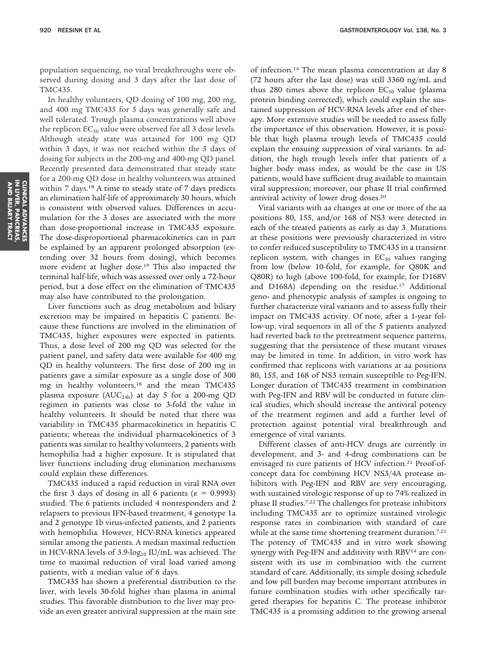population sequencing, no viral breakthroughs were observed during dosing and 3 days after the last dose of TMC435.

In healthy volunteers, QD dosing of 100 mg, 200 mg, and 400 mg TMC435 for 5 days was generally safe and well tolerated. Trough plasma concentrations well above the replicon  $EC_{50}$  value were observed for all 3 dose levels. Although steady state was attained for 100 mg QD within 3 days, it was not reached within the 5 days of dosing for subjects in the 200-mg and 400-mg QD panel. Recently presented data demonstrated that steady state for a 200-mg QD dose in healthy volunteers was attained within 7 days.<sup>18</sup> A time to steady state of 7 days predicts an elimination half-life of approximately 30 hours, which is consistent with observed values. Differences in accumulation for the 3 doses are associated with the more than dose-proportional increase in TMC435 exposure. The dose-disproportional pharmacokinetics can in part be explained by an apparent prolonged absorption (extending over 32 hours from dosing), which becomes more evident at higher dose[.19](#page-8-0) This also impacted the terminal half-life, which was assessed over only a 72-hour period, but a dose effect on the elimination of TMC435 may also have contributed to the prolongation.

Liver functions such as drug metabolism and biliary excretion may be impaired in hepatitis C patients. Because these functions are involved in the elimination of TMC435, higher exposures were expected in patients. Thus, a dose level of 200 mg QD was selected for the patient panel, and safety data were available for 400 mg QD in healthy volunteers. The first dose of 200 mg in patients gave a similar exposure as a single dose of 300 mg in healthy volunteers[,18](#page-8-0) and the mean TMC435 plasma exposure ( $AUC_{24h}$ ) at day 5 for a 200-mg QD regimen in patients was close to 3-fold the value in healthy volunteers. It should be noted that there was variability in TMC435 pharmacokinetics in hepatitis C patients; whereas the individual pharmacokinetics of 3 patients was similar to healthy volunteers, 2 patients with hemophilia had a higher exposure. It is stipulated that liver functions including drug elimination mechanisms could explain these differences.

TMC435 induced a rapid reduction in viral RNA over the first 3 days of dosing in all 6 patients ( $\varepsilon = 0.9993$ ) studied. The 6 patients included 4 nonresponders and 2 relapsers to previous IFN-based treatment, 4 genotype 1a and 2 genotype 1b virus-infected patients, and 2 patients with hemophilia. However, HCV-RNA kinetics appeared similar among the patients. A median maximal reduction in HCV-RNA levels of 3.9-log<sub>10</sub> IU/mL was achieved. The time to maximal reduction of viral load varied among patients, with a median value of 6 days.

TMC435 has shown a preferential distribution to the liver, with levels 30-fold higher than plasma in animal studies. This favorable distribution to the liver may provide an even greater antiviral suppression at the main site of infection[.14](#page-8-0) The mean plasma concentration at day 8 (72 hours after the last dose) was still 3360 ng/mL and thus 280 times above the replicon  $EC_{50}$  value (plasma protein binding corrected), which could explain the sustained suppression of HCV-RNA levels after end of therapy. More extensive studies will be needed to assess fully the importance of this observation. However, it is possible that high plasma trough levels of TMC435 could explain the ensuing suppression of viral variants. In addition, the high trough levels infer that patients of a higher body mass index, as would be the case in US patients, would have sufficient drug available to maintain viral suppression; moreover, our phase II trial confirmed antiviral activity of lower drug doses[.20](#page-8-0)

Viral variants with aa changes at one or more of the aa positions 80, 155, and/or 168 of NS3 were detected in each of the treated patients as early as day 3. Mutations at these positions were previously characterized in vitro to confer reduced susceptibility to TMC435 in a transient replicon system, with changes in  $EC_{50}$  values ranging from low (below 10-fold, for example, for Q80K and Q80R) to high (above 100-fold, for example, for D168V and D168A) depending on the residue[.17](#page-8-0) Additional geno- and phenotypic analysis of samples is ongoing to further characterize viral variants and to assess fully their impact on TMC435 activity. Of note, after a 1-year follow-up, viral sequences in all of the 5 patients analyzed had reverted back to the pretreatment sequence patterns, suggesting that the persistence of these mutant viruses may be limited in time. In addition, in vitro work has confirmed that replicons with variations at aa positions 80, 155, and 168 of NS3 remain susceptible to Peg-IFN. Longer duration of TMC435 treatment in combination with Peg-IFN and RBV will be conducted in future clinical studies, which should increase the antiviral potency of the treatment regimen and add a further level of protection against potential viral breakthrough and emergence of viral variants.

Different classes of anti-HCV drugs are currently in development, and 3- and 4-drug combinations can be envisaged to cure patients of HCV infection.<sup>21</sup> Proof-ofconcept data for combining HCV NS3/4A protease inhibitors with Peg-IFN and RBV are very encouraging, with sustained virologic response of up to 74% realized in phase II studies[.7,22](#page-8-0) The challenges for protease inhibitors including TMC435 are to optimize sustained virologic response rates in combination with standard of care while at the same time shortening treatment duration.<sup>7,21</sup> The potency of TMC435 and in vitro work showing synergy with Peg-IFN and additivity with RBV<sup>14</sup> are consistent with its use in combination with the current standard of care. Additionally, its simple dosing schedule and low pill burden may become important attributes in future combination studies with other specifically targeted therapies for hepatitis C. The protease inhibitor TMC435 is a promising addition to the growing arsenal